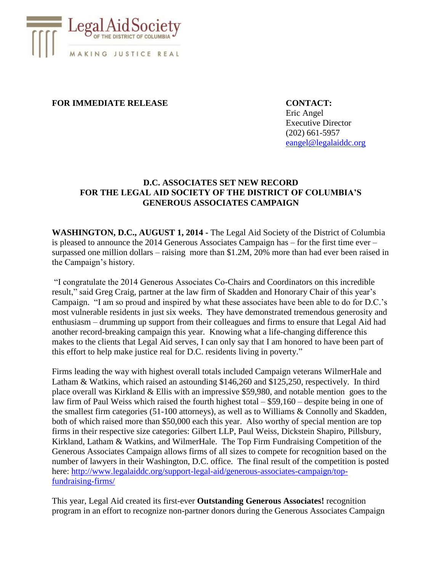

## **FOR IMMEDIATE RELEASE CONTACT:**

Eric Angel Executive Director (202) 661-5957 [eangel@legalaiddc.org](mailto:eangel@legalaiddc.org)

## **D.C. ASSOCIATES SET NEW RECORD FOR THE LEGAL AID SOCIETY OF THE DISTRICT OF COLUMBIA'S GENEROUS ASSOCIATES CAMPAIGN**

**WASHINGTON, D.C., AUGUST 1, 2014 -** The Legal Aid Society of the District of Columbia is pleased to announce the 2014 Generous Associates Campaign has – for the first time ever – surpassed one million dollars – raising more than \$1.2M, 20% more than had ever been raised in the Campaign's history.

"I congratulate the 2014 Generous Associates Co-Chairs and Coordinators on this incredible result," said Greg Craig, partner at the law firm of Skadden and Honorary Chair of this year's Campaign. "I am so proud and inspired by what these associates have been able to do for D.C.'s most vulnerable residents in just six weeks. They have demonstrated tremendous generosity and enthusiasm – drumming up support from their colleagues and firms to ensure that Legal Aid had another record-breaking campaign this year. Knowing what a life-changing difference this makes to the clients that Legal Aid serves, I can only say that I am honored to have been part of this effort to help make justice real for D.C. residents living in poverty."

Firms leading the way with highest overall totals included Campaign veterans WilmerHale and Latham & Watkins, which raised an astounding \$146,260 and \$125,250, respectively. In third place overall was Kirkland & Ellis with an impressive \$59,980, and notable mention goes to the law firm of Paul Weiss which raised the fourth highest total – \$59,160 – despite being in one of the smallest firm categories (51-100 attorneys), as well as to Williams & Connolly and Skadden, both of which raised more than \$50,000 each this year. Also worthy of special mention are top firms in their respective size categories: Gilbert LLP, Paul Weiss, Dickstein Shapiro, Pillsbury, Kirkland, Latham & Watkins, and WilmerHale. The Top Firm Fundraising Competition of the Generous Associates Campaign allows firms of all sizes to compete for recognition based on the number of lawyers in their Washington, D.C. office. The final result of the competition is posted here: [http://www.legalaiddc.org/support-legal-aid/generous-associates-campaign/top](http://www.legalaiddc.org/support-legal-aid/generous-associates-campaign/top-fundraising-firms/)[fundraising-firms/](http://www.legalaiddc.org/support-legal-aid/generous-associates-campaign/top-fundraising-firms/)

This year, Legal Aid created its first-ever **Outstanding Generous Associates!** recognition program in an effort to recognize non-partner donors during the Generous Associates Campaign